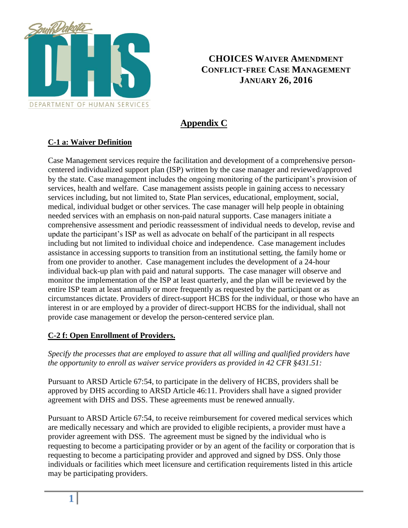

## **CHOICES WAIVER AMENDMENT CONFLICT-FREE CASE MANAGEMENT JANUARY 26, 2016**

## **Appendix C**

## **C-1 a: Waiver Definition**

Case Management services require the facilitation and development of a comprehensive personcentered individualized support plan (ISP) written by the case manager and reviewed/approved by the state. Case management includes the ongoing monitoring of the participant's provision of services, health and welfare. Case management assists people in gaining access to necessary services including, but not limited to, State Plan services, educational, employment, social, medical, individual budget or other services. The case manager will help people in obtaining needed services with an emphasis on non-paid natural supports. Case managers initiate a comprehensive assessment and periodic reassessment of individual needs to develop, revise and update the participant's ISP as well as advocate on behalf of the participant in all respects including but not limited to individual choice and independence. Case management includes assistance in accessing supports to transition from an institutional setting, the family home or from one provider to another. Case management includes the development of a 24-hour individual back-up plan with paid and natural supports. The case manager will observe and monitor the implementation of the ISP at least quarterly, and the plan will be reviewed by the entire ISP team at least annually or more frequently as requested by the participant or as circumstances dictate. Providers of direct-support HCBS for the individual, or those who have an interest in or are employed by a provider of direct-support HCBS for the individual, shall not provide case management or develop the person-centered service plan.

## **C-2 f: Open Enrollment of Providers.**

*Specify the processes that are employed to assure that all willing and qualified providers have the opportunity to enroll as waiver service providers as provided in 42 CFR §431.51:*

Pursuant to ARSD Article 67:54, to participate in the delivery of HCBS, providers shall be approved by DHS according to ARSD Article 46:11. Providers shall have a signed provider agreement with DHS and DSS. These agreements must be renewed annually.

Pursuant to ARSD Article 67:54, to receive reimbursement for covered medical services which are medically necessary and which are provided to eligible recipients, a provider must have a provider agreement with DSS. The agreement must be signed by the individual who is requesting to become a participating provider or by an agent of the facility or corporation that is requesting to become a participating provider and approved and signed by DSS. Only those individuals or facilities which meet licensure and certification requirements listed in this article may be participating providers.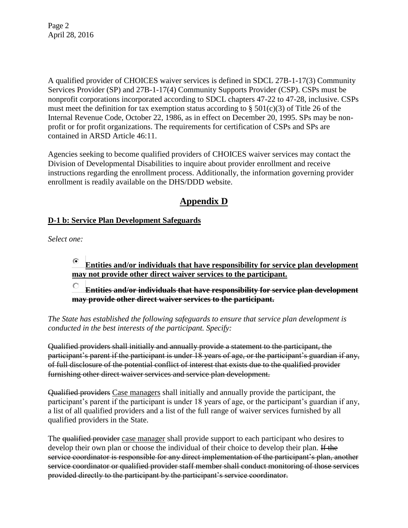Page 2 April 28, 2016

A qualified provider of CHOICES waiver services is defined in SDCL 27B-1-17(3) Community Services Provider (SP) and 27B-1-17(4) Community Supports Provider (CSP). CSPs must be nonprofit corporations incorporated according to SDCL chapters 47-22 to 47-28, inclusive. CSPs must meet the definition for tax exemption status according to  $\S$  501(c)(3) of Title 26 of the Internal Revenue Code, October 22, 1986, as in effect on December 20, 1995. SPs may be nonprofit or for profit organizations. The requirements for certification of CSPs and SPs are contained in ARSD Article 46:11.

Agencies seeking to become qualified providers of CHOICES waiver services may contact the Division of Developmental Disabilities to inquire about provider enrollment and receive instructions regarding the enrollment process. Additionally, the information governing provider enrollment is readily available on the DHS/DDD website.

## **Appendix D**

## **D-1 b: Service Plan Development Safeguards**

*Select one:*

#### ⊙ **Entities and/or individuals that have responsibility for service plan development may not provide other direct waiver services to the participant.**

О. **Entities and/or individuals that have responsibility for service plan development may provide other direct waiver services to the participant.**

*The State has established the following safeguards to ensure that service plan development is conducted in the best interests of the participant. Specify:* 

Qualified providers shall initially and annually provide a statement to the participant, the participant's parent if the participant is under 18 years of age, or the participant's guardian if any, of full disclosure of the potential conflict of interest that exists due to the qualified provider furnishing other direct waiver services and service plan development.

Qualified providers Case managers shall initially and annually provide the participant, the participant's parent if the participant is under 18 years of age, or the participant's guardian if any, a list of all qualified providers and a list of the full range of waiver services furnished by all qualified providers in the State.

The qualified provider case manager shall provide support to each participant who desires to develop their own plan or choose the individual of their choice to develop their plan. If the service coordinator is responsible for any direct implementation of the participant's plan, another service coordinator or qualified provider staff member shall conduct monitoring of those services provided directly to the participant by the participant's service coordinator.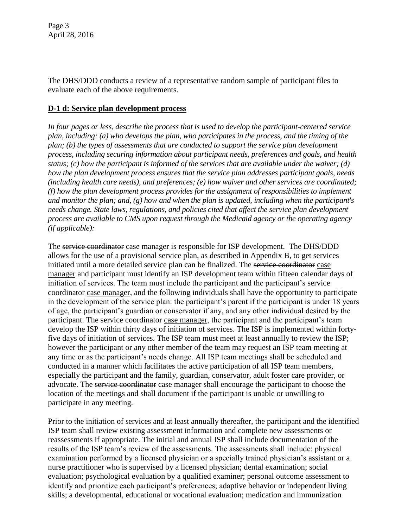The DHS/DDD conducts a review of a representative random sample of participant files to evaluate each of the above requirements.

## **D-1 d: Service plan development process**

*In four pages or less, describe the process that is used to develop the participant-centered service plan, including: (a) who develops the plan, who participates in the process, and the timing of the plan; (b) the types of assessments that are conducted to support the service plan development process, including securing information about participant needs, preferences and goals, and health status; (c) how the participant is informed of the services that are available under the waiver; (d) how the plan development process ensures that the service plan addresses participant goals, needs (including health care needs), and preferences; (e) how waiver and other services are coordinated; (f) how the plan development process provides for the assignment of responsibilities to implement and monitor the plan; and, (g) how and when the plan is updated, including when the participant's needs change. State laws, regulations, and policies cited that affect the service plan development process are available to CMS upon request through the Medicaid agency or the operating agency (if applicable):*

The service coordinator case manager is responsible for ISP development. The DHS/DDD allows for the use of a provisional service plan, as described in Appendix B, to get services initiated until a more detailed service plan can be finalized. The service coordinator case manager and participant must identify an ISP development team within fifteen calendar days of initiation of services. The team must include the participant and the participant's service coordinator case manager, and the following individuals shall have the opportunity to participate in the development of the service plan: the participant's parent if the participant is under 18 years of age, the participant's guardian or conservator if any, and any other individual desired by the participant. The service coordinator case manager, the participant and the participant's team develop the ISP within thirty days of initiation of services. The ISP is implemented within fortyfive days of initiation of services. The ISP team must meet at least annually to review the ISP; however the participant or any other member of the team may request an ISP team meeting at any time or as the participant's needs change. All ISP team meetings shall be scheduled and conducted in a manner which facilitates the active participation of all ISP team members, especially the participant and the family, guardian, conservator, adult foster care provider, or advocate. The service coordinator case manager shall encourage the participant to choose the location of the meetings and shall document if the participant is unable or unwilling to participate in any meeting.

Prior to the initiation of services and at least annually thereafter, the participant and the identified ISP team shall review existing assessment information and complete new assessments or reassessments if appropriate. The initial and annual ISP shall include documentation of the results of the ISP team's review of the assessments. The assessments shall include: physical examination performed by a licensed physician or a specially trained physician's assistant or a nurse practitioner who is supervised by a licensed physician; dental examination; social evaluation; psychological evaluation by a qualified examiner; personal outcome assessment to identify and prioritize each participant's preferences; adaptive behavior or independent living skills; a developmental, educational or vocational evaluation; medication and immunization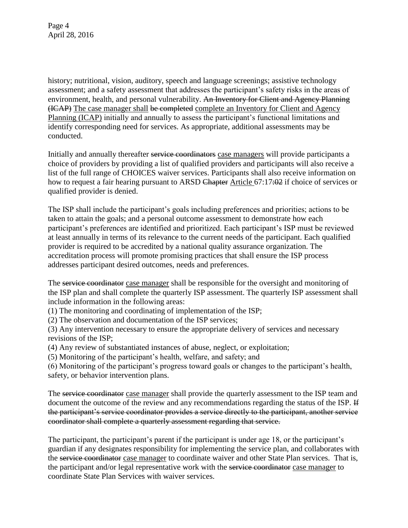history; nutritional, vision, auditory, speech and language screenings; assistive technology assessment; and a safety assessment that addresses the participant's safety risks in the areas of environment, health, and personal vulnerability. An Inventory for Client and Agency Planning (ICAP) The case manager shall be completed complete an Inventory for Client and Agency Planning (ICAP) initially and annually to assess the participant's functional limitations and identify corresponding need for services. As appropriate, additional assessments may be conducted.

Initially and annually thereafter service coordinators case managers will provide participants a choice of providers by providing a list of qualified providers and participants will also receive a list of the full range of CHOICES waiver services. Participants shall also receive information on how to request a fair hearing pursuant to ARSD Chapter Article 67:17:02 if choice of services or qualified provider is denied.

The ISP shall include the participant's goals including preferences and priorities; actions to be taken to attain the goals; and a personal outcome assessment to demonstrate how each participant's preferences are identified and prioritized. Each participant's ISP must be reviewed at least annually in terms of its relevance to the current needs of the participant. Each qualified provider is required to be accredited by a national quality assurance organization. The accreditation process will promote promising practices that shall ensure the ISP process addresses participant desired outcomes, needs and preferences.

The service coordinator case manager shall be responsible for the oversight and monitoring of the ISP plan and shall complete the quarterly ISP assessment. The quarterly ISP assessment shall include information in the following areas:

(1) The monitoring and coordinating of implementation of the ISP;

(2) The observation and documentation of the ISP services;

(3) Any intervention necessary to ensure the appropriate delivery of services and necessary revisions of the ISP;

(4) Any review of substantiated instances of abuse, neglect, or exploitation;

(5) Monitoring of the participant's health, welfare, and safety; and

(6) Monitoring of the participant's progress toward goals or changes to the participant's health, safety, or behavior intervention plans.

The service coordinator case manager shall provide the quarterly assessment to the ISP team and document the outcome of the review and any recommendations regarding the status of the ISP. If the participant's service coordinator provides a service directly to the participant, another service coordinator shall complete a quarterly assessment regarding that service.

The participant, the participant's parent if the participant is under age 18, or the participant's guardian if any designates responsibility for implementing the service plan, and collaborates with the service coordinator case manager to coordinate waiver and other State Plan services. That is, the participant and/or legal representative work with the service coordinator case manager to coordinate State Plan Services with waiver services.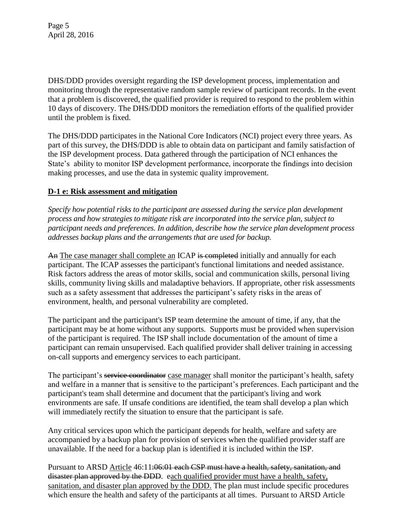Page 5 April 28, 2016

DHS/DDD provides oversight regarding the ISP development process, implementation and monitoring through the representative random sample review of participant records. In the event that a problem is discovered, the qualified provider is required to respond to the problem within 10 days of discovery. The DHS/DDD monitors the remediation efforts of the qualified provider until the problem is fixed.

The DHS/DDD participates in the National Core Indicators (NCI) project every three years. As part of this survey, the DHS/DDD is able to obtain data on participant and family satisfaction of the ISP development process. Data gathered through the participation of NCI enhances the State's ability to monitor ISP development performance, incorporate the findings into decision making processes, and use the data in systemic quality improvement.

#### **D-1 e: Risk assessment and mitigation**

*Specify how potential risks to the participant are assessed during the service plan development process and how strategies to mitigate risk are incorporated into the service plan, subject to participant needs and preferences. In addition, describe how the service plan development process addresses backup plans and the arrangements that are used for backup.*

An The case manager shall complete an ICAP is completed initially and annually for each participant. The ICAP assesses the participant's functional limitations and needed assistance. Risk factors address the areas of motor skills, social and communication skills, personal living skills, community living skills and maladaptive behaviors. If appropriate, other risk assessments such as a safety assessment that addresses the participant's safety risks in the areas of environment, health, and personal vulnerability are completed.

The participant and the participant's ISP team determine the amount of time, if any, that the participant may be at home without any supports. Supports must be provided when supervision of the participant is required. The ISP shall include documentation of the amount of time a participant can remain unsupervised. Each qualified provider shall deliver training in accessing on-call supports and emergency services to each participant.

The participant's service coordinator case manager shall monitor the participant's health, safety and welfare in a manner that is sensitive to the participant's preferences. Each participant and the participant's team shall determine and document that the participant's living and work environments are safe. If unsafe conditions are identified, the team shall develop a plan which will immediately rectify the situation to ensure that the participant is safe.

Any critical services upon which the participant depends for health, welfare and safety are accompanied by a backup plan for provision of services when the qualified provider staff are unavailable. If the need for a backup plan is identified it is included within the ISP.

Pursuant to ARSD Article 46:11:06:01 each CSP must have a health, safety, sanitation, and disaster plan approved by the DDD. each qualified provider must have a health, safety, sanitation, and disaster plan approved by the DDD. The plan must include specific procedures which ensure the health and safety of the participants at all times. Pursuant to ARSD Article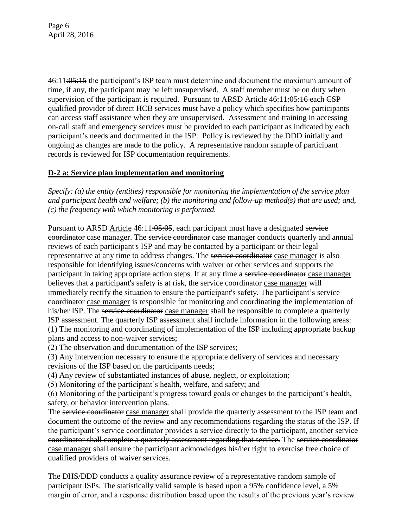Page 6 April 28, 2016

46:11:05:15 the participant's ISP team must determine and document the maximum amount of time, if any, the participant may be left unsupervised. A staff member must be on duty when supervision of the participant is required. Pursuant to ARSD Article 46:11:05:16 each CSP qualified provider of direct HCB services must have a policy which specifies how participants can access staff assistance when they are unsupervised. Assessment and training in accessing on-call staff and emergency services must be provided to each participant as indicated by each participant's needs and documented in the ISP. Policy is reviewed by the DDD initially and ongoing as changes are made to the policy. A representative random sample of participant records is reviewed for ISP documentation requirements.

## **D-2 a: Service plan implementation and monitoring**

*Specify: (a) the entity (entities) responsible for monitoring the implementation of the service plan and participant health and welfare; (b) the monitoring and follow-up method(s) that are used; and, (c) the frequency with which monitoring is performed.*

Pursuant to ARSD Article 46:11:05:05, each participant must have a designated service coordinator case manager. The service coordinator case manager conducts quarterly and annual reviews of each participant's ISP and may be contacted by a participant or their legal representative at any time to address changes. The service coordinator case manager is also responsible for iden*t*ifying issues/concerns with waiver or other services and supports the participant in taking appropriate action steps. If at any time a service coordinator case manager believes that a participant's safety is at risk, the service coordinator case manager will immediately rectify the situation to ensure the participant's safety. The participant's service coordinator case manager is responsible for monitoring and coordinating the implementation of his/her ISP. The service coordinator case manager shall be responsible to complete a quarterly ISP assessment. The quarterly ISP assessment shall include information in the following areas: (1) The monitoring and coordinating of implementation of the ISP including appropriate backup plans and access to non-waiver services;

(2) The observation and documentation of the ISP services;

(3) Any intervention necessary to ensure the appropriate delivery of services and necessary revisions of the ISP based on the participants needs;

(4) Any review of substantiated instances of abuse, neglect, or exploitation;

(5) Monitoring of the participant's health, welfare, and safety; and

(6) Monitoring of the participant's progress toward goals or changes to the participant's health, safety, or behavior intervention plans.

The service coordinator case manager shall provide the quarterly assessment to the ISP team and document the outcome of the review and any recommendations regarding the status of the ISP. If the participant's service coordinator provides a service directly to the participant, another service coordinator shall complete a quarterly assessment regarding that service. The service coordinator case manager shall ensure the participant acknowledges his/her right to exercise free choice of qualified providers of waiver services.

The DHS/DDD conducts a quality assurance review of a representative random sample of participant ISPs. The statistically valid sample is based upon a 95% confidence level, a 5% margin of error, and a response distribution based upon the results of the previous year's review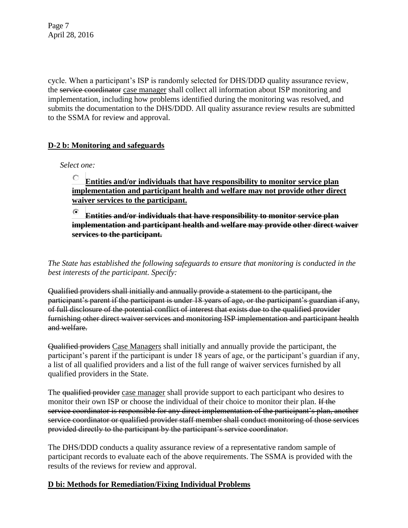Page 7 April 28, 2016

cycle. When a participant's ISP is randomly selected for DHS/DDD quality assurance review, the service coordinator case manager shall collect all information about ISP monitoring and implementation, including how problems identified during the monitoring was resolved, and submits the documentation to the DHS/DDD. All quality assurance review results are submitted to the SSMA for review and approval.

## **D-2 b: Monitoring and safeguards**

*Select one:*

#### О **Entities and/or individuals that have responsibility to monitor service plan implementation and participant health and welfare may not provide other direct waiver services to the participant.**

⊙ **Entities and/or individuals that have responsibility to monitor service plan implementation and participant health and welfare may provide other direct waiver services to the participant.**

*The State has established the following safeguards to ensure that monitoring is conducted in the best interests of the participant. Specify:* 

Qualified providers shall initially and annually provide a statement to the participant, the participant's parent if the participant is under 18 years of age, or the participant's guardian if any, of full disclosure of the potential conflict of interest that exists due to the qualified provider furnishing other direct waiver services and monitoring ISP implementation and participant health and welfare.

Qualified providers Case Managers shall initially and annually provide the participant, the participant's parent if the participant is under 18 years of age, or the participant's guardian if any, a list of all qualified providers and a list of the full range of waiver services furnished by all qualified providers in the State.

The qualified provider case manager shall provide support to each participant who desires to monitor their own ISP or choose the individual of their choice to monitor their plan. If the service coordinator is responsible for any direct implementation of the participant's plan, another service coordinator or qualified provider staff member shall conduct monitoring of those services provided directly to the participant by the participant's service coordinator.

The DHS/DDD conducts a quality assurance review of a representative random sample of participant records to evaluate each of the above requirements. The SSMA is provided with the results of the reviews for review and approval.

## **D bi: Methods for Remediation/Fixing Individual Problems**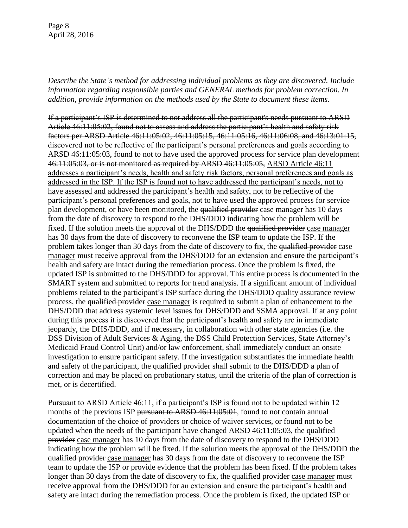Page 8 April 28, 2016

*Describe the State's method for addressing individual problems as they are discovered. Include information regarding responsible parties and GENERAL methods for problem correction. In addition, provide information on the methods used by the State to document these items.* 

If a participant's ISP is determined to not address all the participant's needs pursuant to ARSD Article 46:11:05:02, found not to assess and address the participant's health and safety risk factors per ARSD Article 46:11:05:02, 46:11:05:15, 46:11:05:16, 46:11:06:08, and 46:13:01:15, discovered not to be reflective of the participant's personal preferences and goals according to ARSD 46:11:05:03, found to not to have used the approved process for service plan development 46:11:05:03, or is not monitored as required by ARSD 46:11:05:05, ARSD Article 46:11 addresses a participant's needs, health and safety risk factors, personal preferences and goals as addressed in the ISP. If the ISP is found not to have addressed the participant's needs, not to have assessed and addressed the participant's health and safety, not to be reflective of the participant's personal preferences and goals, not to have used the approved process for service plan development, or have been monitored, the qualified provider case manager has 10 days from the date of discovery to respond to the DHS/DDD indicating how the problem will be fixed. If the solution meets the approval of the DHS/DDD the qualified provider case manager has 30 days from the date of discovery to reconvene the ISP team to update the ISP. If the problem takes longer than 30 days from the date of discovery to fix, the qualified provider case manager must receive approval from the DHS/DDD for an extension and ensure the participant's health and safety are intact during the remediation process. Once the problem is fixed, the updated ISP is submitted to the DHS/DDD for approval. This entire process is documented in the SMART system and submitted to reports for trend analysis. If a significant amount of individual problems related to the participant's ISP surface during the DHS/DDD quality assurance review process, the qualified provider case manager is required to submit a plan of enhancement to the DHS/DDD that address systemic level issues for DHS/DDD and SSMA approval. If at any point during this process it is discovered that the participant's health and safety are in immediate jeopardy, the DHS/DDD, and if necessary, in collaboration with other state agencies (i.e. the DSS Division of Adult Services & Aging, the DSS Child Protection Services, State Attorney's Medicaid Fraud Control Unit) and/or law enforcement, shall immediately conduct an onsite investigation to ensure participant safety. If the investigation substantiates the immediate health and safety of the participant, the qualified provider shall submit to the DHS/DDD a plan of correction and may be placed on probationary status, until the criteria of the plan of correction is met, or is decertified.

Pursuant to ARSD Article 46:11, if a participant's ISP is found not to be updated within 12 months of the previous ISP pursuant to ARSD 46:11:05:01, found to not contain annual documentation of the choice of providers or choice of waiver services, or found not to be updated when the needs of the participant have changed ARSD 46:11:05:03, the qualified provider case manager has 10 days from the date of discovery to respond to the DHS/DDD indicating how the problem will be fixed. If the solution meets the approval of the DHS/DDD the qualified provider case manager has 30 days from the date of discovery to reconvene the ISP team to update the ISP or provide evidence that the problem has been fixed. If the problem takes longer than 30 days from the date of discovery to fix, the qualified provider case manager must receive approval from the DHS/DDD for an extension and ensure the participant's health and safety are intact during the remediation process. Once the problem is fixed, the updated ISP or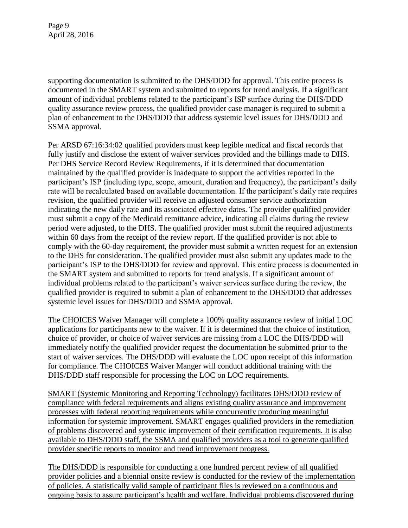Page 9 April 28, 2016

supporting documentation is submitted to the DHS/DDD for approval. This entire process is documented in the SMART system and submitted to reports for trend analysis. If a significant amount of individual problems related to the participant's ISP surface during the DHS/DDD quality assurance review process, the qualified provider case manager is required to submit a plan of enhancement to the DHS/DDD that address systemic level issues for DHS/DDD and SSMA approval.

Per ARSD 67:16:34:02 qualified providers must keep legible medical and fiscal records that fully justify and disclose the extent of waiver services provided and the billings made to DHS. Per DHS Service Record Review Requirements, if it is determined that documentation maintained by the qualified provider is inadequate to support the activities reported in the participant's ISP (including type, scope, amount, duration and frequency), the participant's daily rate will be recalculated based on available documentation. If the participant's daily rate requires revision, the qualified provider will receive an adjusted consumer service authorization indicating the new daily rate and its associated effective dates. The provider qualified provider must submit a copy of the Medicaid remittance advice, indicating all claims during the review period were adjusted, to the DHS. The qualified provider must submit the required adjustments within 60 days from the receipt of the review report. If the qualified provider is not able to comply with the 60-day requirement, the provider must submit a written request for an extension to the DHS for consideration. The qualified provider must also submit any updates made to the participant's ISP to the DHS/DDD for review and approval. This entire process is documented in the SMART system and submitted to reports for trend analysis. If a significant amount of individual problems related to the participant's waiver services surface during the review, the qualified provider is required to submit a plan of enhancement to the DHS/DDD that addresses systemic level issues for DHS/DDD and SSMA approval.

The CHOICES Waiver Manager will complete a 100% quality assurance review of initial LOC applications for participants new to the waiver. If it is determined that the choice of institution, choice of provider, or choice of waiver services are missing from a LOC the DHS/DDD will immediately notify the qualified provider request the documentation be submitted prior to the start of waiver services. The DHS/DDD will evaluate the LOC upon receipt of this information for compliance. The CHOICES Waiver Manger will conduct additional training with the DHS/DDD staff responsible for processing the LOC on LOC requirements.

SMART (Systemic Monitoring and Reporting Technology) facilitates DHS/DDD review of compliance with federal requirements and aligns existing quality assurance and improvement processes with federal reporting requirements while concurrently producing meaningful information for systemic improvement. SMART engages qualified providers in the remediation of problems discovered and systemic improvement of their certification requirements. It is also available to DHS/DDD staff, the SSMA and qualified providers as a tool to generate qualified provider specific reports to monitor and trend improvement progress.

The DHS/DDD is responsible for conducting a one hundred percent review of all qualified provider policies and a biennial onsite review is conducted for the review of the implementation of policies. A statistically valid sample of participant files is reviewed on a continuous and ongoing basis to assure participant's health and welfare. Individual problems discovered during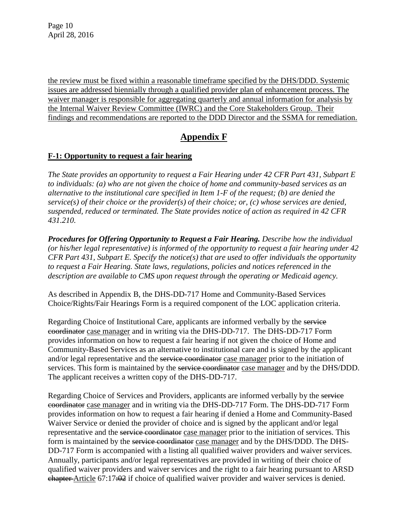the review must be fixed within a reasonable timeframe specified by the DHS/DDD. Systemic issues are addressed biennially through a qualified provider plan of enhancement process. The waiver manager is responsible for aggregating quarterly and annual information for analysis by the Internal Waiver Review Committee (IWRC) and the Core Stakeholders Group. Their findings and recommendations are reported to the DDD Director and the SSMA for remediation.

## **Appendix F**

## **F-1: Opportunity to request a fair hearing**

*The State provides an opportunity to request a Fair Hearing under 42 CFR Part 431, Subpart E to individuals: (a) who are not given the choice of home and community-based services as an alternative to the institutional care specified in Item 1-F of the request; (b) are denied the service(s) of their choice or the provider(s) of their choice; or, (c) whose services are denied, suspended, reduced or terminated. The State provides notice of action as required in 42 CFR 431.210.* 

*Procedures for Offering Opportunity to Request a Fair Hearing. Describe how the individual (or his/her legal representative) is informed of the opportunity to request a fair hearing under 42 CFR Part 431, Subpart E. Specify the notice(s) that are used to offer individuals the opportunity to request a Fair Hearing. State laws, regulations, policies and notices referenced in the description are available to CMS upon request through the operating or Medicaid agency.* 

As described in Appendix B, the DHS-DD-717 Home and Community-Based Services Choice/Rights/Fair Hearings Form is a required component of the LOC application criteria.

Regarding Choice of Institutional Care, applicants are informed verbally by the service coordinator case manager and in writing via the DHS-DD-717. The DHS-DD-717 Form provides information on how to request a fair hearing if not given the choice of Home and Community-Based Services as an alternative to institutional care and is signed by the applicant and/or legal representative and the service coordinator case manager prior to the initiation of services. This form is maintained by the service coordinator case manager and by the DHS/DDD. The applicant receives a written copy of the DHS-DD-717.

Regarding Choice of Services and Providers, applicants are informed verbally by the service coordinator case manager and in writing via the DHS-DD-717 Form. The DHS-DD-717 Form provides information on how to request a fair hearing if denied a Home and Community-Based Waiver Service or denied the provider of choice and is signed by the applicant and/or legal representative and the service coordinator case manager prior to the initiation of services. This form is maintained by the service coordinator case manager and by the DHS/DDD. The DHS-DD-717 Form is accompanied with a listing all qualified waiver providers and waiver services. Annually, participants and/or legal representatives are provided in writing of their choice of qualified waiver providers and waiver services and the right to a fair hearing pursuant to ARSD chapter Article 67:17:02 if choice of qualified waiver provider and waiver services is denied.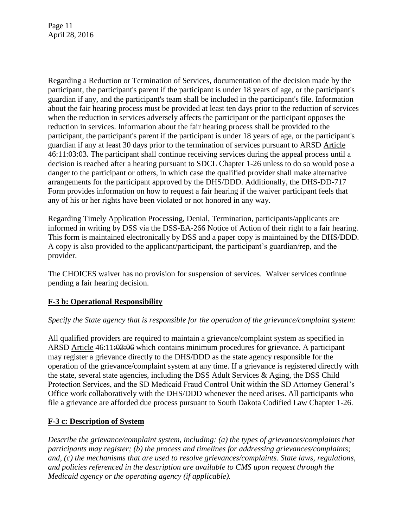Page 11 April 28, 2016

Regarding a Reduction or Termination of Services, documentation of the decision made by the participant, the participant's parent if the participant is under 18 years of age, or the participant's guardian if any, and the participant's team shall be included in the participant's file. Information about the fair hearing process must be provided at least ten days prior to the reduction of services when the reduction in services adversely affects the participant or the participant opposes the reduction in services. Information about the fair hearing process shall be provided to the participant, the participant's parent if the participant is under 18 years of age, or the participant's guardian if any at least 30 days prior to the termination of services pursuant to ARSD Article 46:11:03:03. The participant shall continue receiving services during the appeal process until a decision is reached after a hearing pursuant to SDCL Chapter 1-26 unless to do so would pose a danger to the participant or others, in which case the qualified provider shall make alternative arrangements for the participant approved by the DHS/DDD. Additionally, the DHS-DD-717 Form provides information on how to request a fair hearing if the waiver participant feels that any of his or her rights have been violated or not honored in any way.

Regarding Timely Application Processing, Denial, Termination, participants/applicants are informed in writing by DSS via the DSS-EA-266 Notice of Action of their right to a fair hearing. This form is maintained electronically by DSS and a paper copy is maintained by the DHS/DDD. A copy is also provided to the applicant/participant, the participant's guardian/rep, and the provider.

The CHOICES waiver has no provision for suspension of services. Waiver services continue pending a fair hearing decision.

## **F-3 b: Operational Responsibility**

## *Specify the State agency that is responsible for the operation of the grievance/complaint system:*

All qualified providers are required to maintain a grievance/complaint system as specified in ARSD Article 46:11:03:06 which contains minimum procedures for grievance. A participant may register a grievance directly to the DHS/DDD as the state agency responsible for the operation of the grievance/complaint system at any time. If a grievance is registered directly with the state, several state agencies, including the DSS Adult Services & Aging, the DSS Child Protection Services, and the SD Medicaid Fraud Control Unit within the SD Attorney General's Office work collaboratively with the DHS/DDD whenever the need arises. All participants who file a grievance are afforded due process pursuant to South Dakota Codified Law Chapter 1-26.

## **F-3 c: Description of System**

*Describe the grievance/complaint system, including: (a) the types of grievances/complaints that participants may register; (b) the process and timelines for addressing grievances/complaints; and, (c) the mechanisms that are used to resolve grievances/complaints. State laws, regulations, and policies referenced in the description are available to CMS upon request through the Medicaid agency or the operating agency (if applicable).*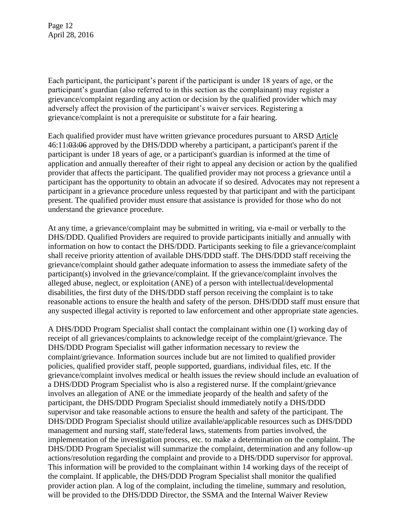Page 12 April 28, 2016

Each participant, the participant's parent if the participant is under 18 years of age, or the participant's guardian (also referred to in this section as the complainant) may register a grievance/complaint regarding any action or decision by the qualified provider which may adversely affect the provision of the participant's waiver services. Registering a grievance/complaint is not a prerequisite or substitute for a fair hearing.

Each qualified provider must have written grievance procedures pursuant to ARSD Article 46:11:03:06 approved by the DHS/DDD whereby a participant, a participant's parent if the participant is under 18 years of age, or a participant's guardian is informed at the time of application and annually thereafter of their right to appeal any decision or action by the qualified provider that affects the participant. The qualified provider may not process a grievance until a participant has the opportunity to obtain an advocate if so desired. Advocates may not represent a participant in a grievance procedure unless requested by that participant and with the participant present. The qualified provider must ensure that assistance is provided for those who do not understand the grievance procedure.

At any time, a grievance/complaint may be submitted in writing, via e-mail or verbally to the DHS/DDD. Qualified Providers are required to provide participants initially and annually with information on how to contact the DHS/DDD. Participants seeking to file a grievance/complaint shall receive priority attention of available DHS/DDD staff. The DHS/DDD staff receiving the grievance/complaint should gather adequate information to assess the immediate safety of the participant(s) involved in the grievance/complaint. If the grievance/complaint involves the alleged abuse, neglect, or exploitation (ANE) of a person with intellectual/developmental disabilities, the first duty of the DHS/DDD staff person receiving the complaint is to take reasonable actions to ensure the health and safety of the person. DHS/DDD staff must ensure that any suspected illegal activity is reported to law enforcement and other appropriate state agencies.

A DHS/DDD Program Specialist shall contact the complainant within one (1) working day of receipt of all grievances/complaints to acknowledge receipt of the complaint/grievance. The DHS/DDD Program Specialist will gather information necessary to review the complaint/grievance. Information sources include but are not limited to qualified provider policies, qualified provider staff, people supported, guardians, individual files, etc. If the grievance/complaint involves medical or health issues the review should include an evaluation of a DHS/DDD Program Specialist who is also a registered nurse. If the complaint/grievance involves an allegation of ANE or the immediate jeopardy of the health and safety of the participant, the DHS/DDD Program Specialist should immediately notify a DHS/DDD supervisor and take reasonable actions to ensure the health and safety of the participant. The DHS/DDD Program Specialist should utilize available/applicable resources such as DHS/DDD management and nursing staff, state/federal laws, statements from parties involved, the implementation of the investigation process, etc. to make a determination on the complaint. The DHS/DDD Program Specialist will summarize the complaint, determination and any follow-up actions/resolution regarding the complaint and provide to a DHS/DDD supervisor for approval. This information will be provided to the complainant within 14 working days of the receipt of the complaint. If applicable, the DHS/DDD Program Specialist shall monitor the qualified provider action plan. A log of the complaint, including the timeline, summary and resolution, will be provided to the DHS/DDD Director, the SSMA and the Internal Waiver Review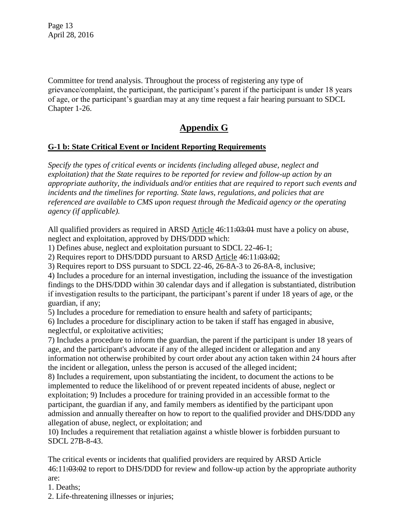Page 13 April 28, 2016

Committee for trend analysis. Throughout the process of registering any type of grievance/complaint, the participant, the participant's parent if the participant is under 18 years of age, or the participant's guardian may at any time request a fair hearing pursuant to SDCL Chapter 1-26.

# **Appendix G**

## **G-1 b: State Critical Event or Incident Reporting Requirements**

*Specify the types of critical events or incidents (including alleged abuse, neglect and exploitation) that the State requires to be reported for review and follow-up action by an appropriate authority, the individuals and/or entities that are required to report such events and incidents and the timelines for reporting. State laws, regulations, and policies that are referenced are available to CMS upon request through the Medicaid agency or the operating agency (if applicable).*

All qualified providers as required in ARSD Article 46:11:03:01 must have a policy on abuse, neglect and exploitation, approved by DHS/DDD which:

1) Defines abuse, neglect and exploitation pursuant to SDCL 22-46-1;

2) Requires report to DHS/DDD pursuant to ARSD Article 46:11:03:02;

3) Requires report to DSS pursuant to SDCL 22-46, 26-8A-3 to 26-8A-8, inclusive;

4) Includes a procedure for an internal investigation, including the issuance of the investigation findings to the DHS/DDD within 30 calendar days and if allegation is substantiated, distribution if investigation results to the participant, the participant's parent if under 18 years of age, or the guardian, if any;

5) Includes a procedure for remediation to ensure health and safety of participants;

6) Includes a procedure for disciplinary action to be taken if staff has engaged in abusive, neglectful, or exploitative activities;

7) Includes a procedure to inform the guardian, the parent if the participant is under 18 years of age, and the participant's advocate if any of the alleged incident or allegation and any information not otherwise prohibited by court order about any action taken within 24 hours after the incident or allegation, unless the person is accused of the alleged incident;

8) Includes a requirement, upon substantiating the incident, to document the actions to be implemented to reduce the likelihood of or prevent repeated incidents of abuse, neglect or exploitation; 9) Includes a procedure for training provided in an accessible format to the participant, the guardian if any, and family members as identified by the participant upon admission and annually thereafter on how to report to the qualified provider and DHS/DDD any allegation of abuse, neglect, or exploitation; and

10) Includes a requirement that retaliation against a whistle blower is forbidden pursuant to SDCL 27B-8-43.

The critical events or incidents that qualified providers are required by ARSD Article 46:11:03:02 to report to DHS/DDD for review and follow-up action by the appropriate authority are:

- 1. Deaths;
- 2. Life-threatening illnesses or injuries;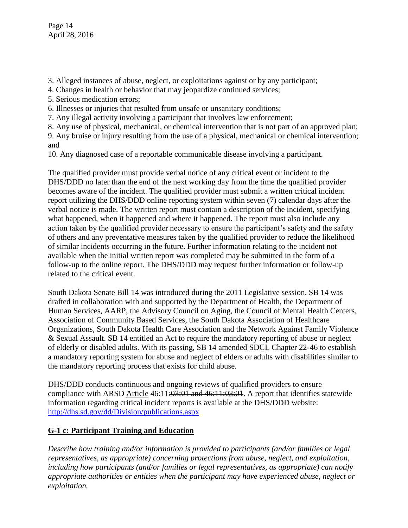Page 14 April 28, 2016

- 3. Alleged instances of abuse, neglect, or exploitations against or by any participant;
- 4. Changes in health or behavior that may jeopardize continued services;
- 5. Serious medication errors;
- 6. Illnesses or injuries that resulted from unsafe or unsanitary conditions;
- 7. Any illegal activity involving a participant that involves law enforcement;
- 8. Any use of physical, mechanical, or chemical intervention that is not part of an approved plan;
- 9. Any bruise or injury resulting from the use of a physical, mechanical or chemical intervention; and
- 10. Any diagnosed case of a reportable communicable disease involving a participant.

The qualified provider must provide verbal notice of any critical event or incident to the DHS/DDD no later than the end of the next working day from the time the qualified provider becomes aware of the incident. The qualified provider must submit a written critical incident report utilizing the DHS/DDD online reporting system within seven (7) calendar days after the verbal notice is made. The written report must contain a description of the incident, specifying what happened, when it happened and where it happened. The report must also include any action taken by the qualified provider necessary to ensure the participant's safety and the safety of others and any preventative measures taken by the qualified provider to reduce the likelihood of similar incidents occurring in the future. Further information relating to the incident not available when the initial written report was completed may be submitted in the form of a follow-up to the online report. The DHS/DDD may request further information or follow-up related to the critical event.

South Dakota Senate Bill 14 was introduced during the 2011 Legislative session. SB 14 was drafted in collaboration with and supported by the Department of Health, the Department of Human Services, AARP, the Advisory Council on Aging, the Council of Mental Health Centers, Association of Community Based Services, the South Dakota Association of Healthcare Organizations, South Dakota Health Care Association and the Network Against Family Violence & Sexual Assault. SB 14 entitled an Act to require the mandatory reporting of abuse or neglect of elderly or disabled adults. With its passing, SB 14 amended SDCL Chapter 22-46 to establish a mandatory reporting system for abuse and neglect of elders or adults with disabilities similar to the mandatory reporting process that exists for child abuse.

DHS/DDD conducts continuous and ongoing reviews of qualified providers to ensure compliance with ARSD Article 46:11:03:01 and 46:11:03:01. A report that identifies statewide information regarding critical incident reports is available at the DHS/DDD website: <http://dhs.sd.gov/dd/Division/publications.aspx>

## **G-1 c: Participant Training and Education**

*Describe how training and/or information is provided to participants (and/or families or legal representatives, as appropriate) concerning protections from abuse, neglect, and exploitation, including how participants (and/or families or legal representatives, as appropriate) can notify appropriate authorities or entities when the participant may have experienced abuse, neglect or exploitation.*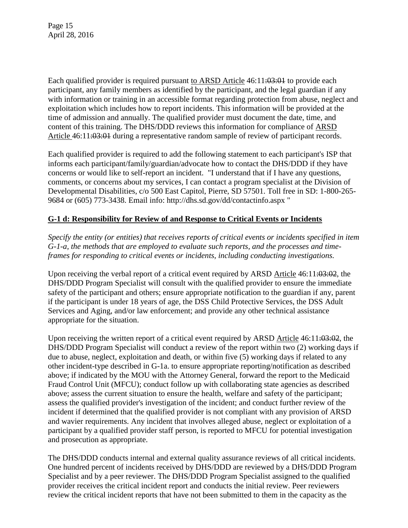Each qualified provider is required pursuant to ARSD Article  $46:11:03:04$  to provide each participant, any family members as identified by the participant, and the legal guardian if any with information or training in an accessible format regarding protection from abuse, neglect and exploitation which includes how to report incidents. This information will be provided at the time of admission and annually. The qualified provider must document the date, time, and content of this training. The DHS/DDD reviews this information for compliance of ARSD Article 46:11:03:01 during a representative random sample of review of participant records.

Each qualified provider is required to add the following statement to each participant's ISP that informs each participant/family/guardian/advocate how to contact the DHS/DDD if they have concerns or would like to self-report an incident. "I understand that if I have any questions, comments, or concerns about my services, I can contact a program specialist at the Division of Developmental Disabilities, c/o 500 East Capitol, Pierre, SD 57501. Toll free in SD: 1-800-265- 9684 or (605) 773-3438. Email info: http://dhs.sd.gov/dd/contactinfo.aspx "

## **G-1 d: Responsibility for Review of and Response to Critical Events or Incidents**

*Specify the entity (or entities) that receives reports of critical events or incidents specified in item G-1-a, the methods that are employed to evaluate such reports, and the processes and timeframes for responding to critical events or incidents, including conducting investigations.*

Upon receiving the verbal report of a critical event required by ARSD Article 46:11:03:02, the DHS/DDD Program Specialist will consult with the qualified provider to ensure the immediate safety of the participant and others; ensure appropriate notification to the guardian if any, parent if the participant is under 18 years of age, the DSS Child Protective Services, the DSS Adult Services and Aging, and/or law enforcement; and provide any other technical assistance appropriate for the situation.

Upon receiving the written report of a critical event required by ARSD Article  $46:11:03:02$ , the DHS/DDD Program Specialist will conduct a review of the report within two (2) working days if due to abuse, neglect, exploitation and death, or within five (5) working days if related to any other incident-type described in G-1a. to ensure appropriate reporting/notification as described above; if indicated by the MOU with the Attorney General, forward the report to the Medicaid Fraud Control Unit (MFCU); conduct follow up with collaborating state agencies as described above; assess the current situation to ensure the health, welfare and safety of the participant; assess the qualified provider's investigation of the incident; and conduct further review of the incident if determined that the qualified provider is not compliant with any provision of ARSD and wavier requirements. Any incident that involves alleged abuse, neglect or exploitation of a participant by a qualified provider staff person, is reported to MFCU for potential investigation and prosecution as appropriate.

The DHS/DDD conducts internal and external quality assurance reviews of all critical incidents. One hundred percent of incidents received by DHS/DDD are reviewed by a DHS/DDD Program Specialist and by a peer reviewer. The DHS/DDD Program Specialist assigned to the qualified provider receives the critical incident report and conducts the initial review. Peer reviewers review the critical incident reports that have not been submitted to them in the capacity as the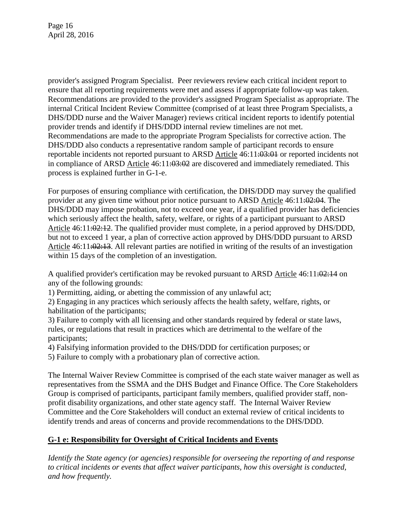Page 16 April 28, 2016

provider's assigned Program Specialist. Peer reviewers review each critical incident report to ensure that all reporting requirements were met and assess if appropriate follow-up was taken. Recommendations are provided to the provider's assigned Program Specialist as appropriate. The internal Critical Incident Review Committee (comprised of at least three Program Specialists, a DHS/DDD nurse and the Waiver Manager) reviews critical incident reports to identify potential provider trends and identify if DHS/DDD internal review timelines are not met. Recommendations are made to the appropriate Program Specialists for corrective action. The DHS/DDD also conducts a representative random sample of participant records to ensure reportable incidents not reported pursuant to ARSD Article 46:11:03:04 or reported incidents not in compliance of ARSD Article  $46:11:03:02$  are discovered and immediately remediated. This process is explained further in G-1-e.

For purposes of ensuring compliance with certification, the DHS/DDD may survey the qualified provider at any given time without prior notice pursuant to ARSD Article  $46:11:02:04$ . The DHS/DDD may impose probation, not to exceed one year, if a qualified provider has deficiencies which seriously affect the health, safety, welfare, or rights of a participant pursuant to ARSD Article 46:11:02:12. The qualified provider must complete, in a period approved by DHS/DDD, but not to exceed 1 year, a plan of corrective action approved by DHS/DDD pursuant to ARSD Article 46:11:02:13. All relevant parties are notified in writing of the results of an investigation within 15 days of the completion of an investigation.

A qualified provider's certification may be revoked pursuant to ARSD Article  $46:11:02:14$  on any of the following grounds:

1) Permitting, aiding, or abetting the commission of any unlawful act;

2) Engaging in any practices which seriously affects the health safety, welfare, rights, or habilitation of the participants;

3) Failure to comply with all licensing and other standards required by federal or state laws, rules, or regulations that result in practices which are detrimental to the welfare of the participants;

4) Falsifying information provided to the DHS/DDD for certification purposes; or

5) Failure to comply with a probationary plan of corrective action.

The Internal Waiver Review Committee is comprised of the each state waiver manager as well as representatives from the SSMA and the DHS Budget and Finance Office. The Core Stakeholders Group is comprised of participants, participant family members, qualified provider staff, nonprofit disability organizations, and other state agency staff. The Internal Waiver Review Committee and the Core Stakeholders will conduct an external review of critical incidents to identify trends and areas of concerns and provide recommendations to the DHS/DDD.

## **G-1 e: Responsibility for Oversight of Critical Incidents and Events**

*Identify the State agency (or agencies) responsible for overseeing the reporting of and response to critical incidents or events that affect waiver participants, how this oversight is conducted, and how frequently.*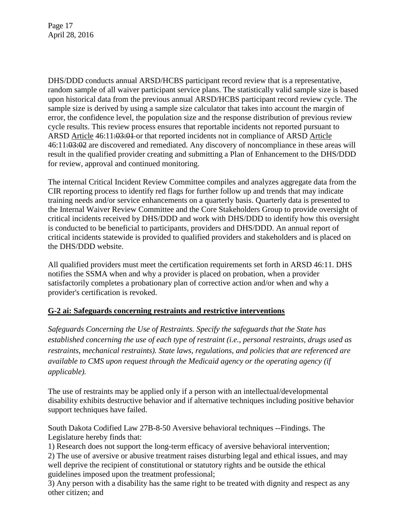Page 17 April 28, 2016

DHS/DDD conducts annual ARSD/HCBS participant record review that is a representative, random sample of all waiver participant service plans. The statistically valid sample size is based upon historical data from the previous annual ARSD/HCBS participant record review cycle. The sample size is derived by using a sample size calculator that takes into account the margin of error, the confidence level, the population size and the response distribution of previous review cycle results. This review process ensures that reportable incidents not reported pursuant to ARSD Article 46:11:03:01 or that reported incidents not in compliance of ARSD Article 46:11:03:02 are discovered and remediated. Any discovery of noncompliance in these areas will result in the qualified provider creating and submitting a Plan of Enhancement to the DHS/DDD for review, approval and continued monitoring.

The internal Critical Incident Review Committee compiles and analyzes aggregate data from the CIR reporting process to identify red flags for further follow up and trends that may indicate training needs and/or service enhancements on a quarterly basis. Quarterly data is presented to the Internal Waiver Review Committee and the Core Stakeholders Group to provide oversight of critical incidents received by DHS/DDD and work with DHS/DDD to identify how this oversight is conducted to be beneficial to participants, providers and DHS/DDD. An annual report of critical incidents statewide is provided to qualified providers and stakeholders and is placed on the DHS/DDD website.

All qualified providers must meet the certification requirements set forth in ARSD 46:11. DHS notifies the SSMA when and why a provider is placed on probation, when a provider satisfactorily completes a probationary plan of corrective action and/or when and why a provider's certification is revoked.

## **G-2 ai: Safeguards concerning restraints and restrictive interventions**

*Safeguards Concerning the Use of Restraints. Specify the safeguards that the State has established concerning the use of each type of restraint (i.e., personal restraints, drugs used as restraints, mechanical restraints). State laws, regulations, and policies that are referenced are available to CMS upon request through the Medicaid agency or the operating agency (if applicable).* 

The use of restraints may be applied only if a person with an intellectual/developmental disability exhibits destructive behavior and if alternative techniques including positive behavior support techniques have failed.

South Dakota Codified Law 27B-8-50 Aversive behavioral techniques --Findings. The Legislature hereby finds that:

1) Research does not support the long-term efficacy of aversive behavioral intervention;

2) The use of aversive or abusive treatment raises disturbing legal and ethical issues, and may well deprive the recipient of constitutional or statutory rights and be outside the ethical guidelines imposed upon the treatment professional;

3) Any person with a disability has the same right to be treated with dignity and respect as any other citizen; and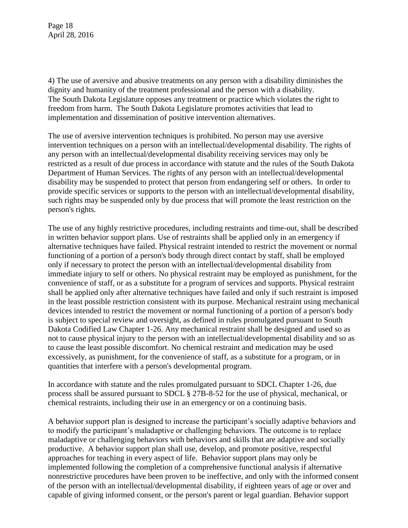Page 18 April 28, 2016

4) The use of aversive and abusive treatments on any person with a disability diminishes the dignity and humanity of the treatment professional and the person with a disability. The South Dakota Legislature opposes any treatment or practice which violates the right to freedom from harm. The South Dakota Legislature promotes activities that lead to implementation and dissemination of positive intervention alternatives.

The use of aversive intervention techniques is prohibited. No person may use aversive intervention techniques on a person with an intellectual/developmental disability. The rights of any person with an intellectual/developmental disability receiving services may only be restricted as a result of due process in accordance with statute and the rules of the South Dakota Department of Human Services. The rights of any person with an intellectual/developmental disability may be suspended to protect that person from endangering self or others. In order to provide specific services or supports to the person with an intellectual/developmental disability, such rights may be suspended only by due process that will promote the least restriction on the person's rights.

The use of any highly restrictive procedures, including restraints and time-out, shall be described in written behavior support plans. Use of restraints shall be applied only in an emergency if alternative techniques have failed. Physical restraint intended to restrict the movement or normal functioning of a portion of a person's body through direct contact by staff, shall be employed only if necessary to protect the person with an intellectual/developmental disability from immediate injury to self or others. No physical restraint may be employed as punishment, for the convenience of staff, or as a substitute for a program of services and supports. Physical restraint shall be applied only after alternative techniques have failed and only if such restraint is imposed in the least possible restriction consistent with its purpose. Mechanical restraint using mechanical devices intended to restrict the movement or normal functioning of a portion of a person's body is subject to special review and oversight, as defined in rules promulgated pursuant to South Dakota Codified Law Chapter 1-26. Any mechanical restraint shall be designed and used so as not to cause physical injury to the person with an intellectual/developmental disability and so as to cause the least possible discomfort. No chemical restraint and medication may be used excessively, as punishment, for the convenience of staff, as a substitute for a program, or in quantities that interfere with a person's developmental program.

In accordance with statute and the rules promulgated pursuant to SDCL Chapter 1-26, due process shall be assured pursuant to SDCL § 27B-8-52 for the use of physical, mechanical, or chemical restraints, including their use in an emergency or on a continuing basis.

A behavior support plan is designed to increase the participant's socially adaptive behaviors and to modify the participant's maladaptive or challenging behaviors. The outcome is to replace maladaptive or challenging behaviors with behaviors and skills that are adaptive and socially productive. A behavior support plan shall use, develop, and promote positive, respectful approaches for teaching in every aspect of life. Behavior support plans may only be implemented following the completion of a comprehensive functional analysis if alternative nonrestrictive procedures have been proven to be ineffective, and only with the informed consent of the person with an intellectual/developmental disability, if eighteen years of age or over and capable of giving informed consent, or the person's parent or legal guardian. Behavior support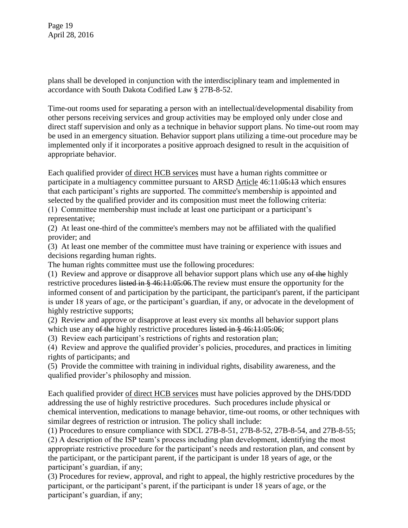Page 19 April 28, 2016

plans shall be developed in conjunction with the interdisciplinary team and implemented in accordance with South Dakota Codified Law § 27B-8-52.

Time-out rooms used for separating a person with an intellectual/developmental disability from other persons receiving services and group activities may be employed only under close and direct staff supervision and only as a technique in behavior support plans. No time-out room may be used in an emergency situation. Behavior support plans utilizing a time-out procedure may be implemented only if it incorporates a positive approach designed to result in the acquisition of appropriate behavior.

Each qualified provider of direct HCB services must have a human rights committee or participate in a multiagency committee pursuant to ARSD Article 46:11:05:13 which ensures that each participant's rights are supported. The committee's membership is appointed and selected by the qualified provider and its composition must meet the following criteria:

(1) Committee membership must include at least one participant or a participant's representative;

(2) At least one-third of the committee's members may not be affiliated with the qualified provider; and

(3) At least one member of the committee must have training or experience with issues and decisions regarding human rights.

The human rights committee must use the following procedures:

(1) Review and approve or disapprove all behavior support plans which use any of the highly restrictive procedures listed in § 46:11:05:06. The review must ensure the opportunity for the informed consent of and participation by the participant, the participant's parent, if the participant is under 18 years of age, or the participant's guardian, if any, or advocate in the development of highly restrictive supports;

(2) Review and approve or disapprove at least every six months all behavior support plans which use any of the highly restrictive procedures listed in § 46:11:05:06;

(3) Review each participant's restrictions of rights and restoration plan;

(4) Review and approve the qualified provider's policies, procedures, and practices in limiting rights of participants; and

(5) Provide the committee with training in individual rights, disability awareness, and the qualified provider's philosophy and mission.

Each qualified provider of direct HCB services must have policies approved by the DHS/DDD addressing the use of highly restrictive procedures. Such procedures include physical or chemical intervention, medications to manage behavior, time-out rooms, or other techniques with similar degrees of restriction or intrusion. The policy shall include:

(1) Procedures to ensure compliance with SDCL 27B-8-51, 27B-8-52, 27B-8-54, and 27B-8-55;

(2) A description of the ISP team's process including plan development, identifying the most appropriate restrictive procedure for the participant's needs and restoration plan, and consent by the participant, or the participant parent, if the participant is under 18 years of age, or the participant's guardian, if any;

(3) Procedures for review, approval, and right to appeal, the highly restrictive procedures by the participant, or the participant's parent, if the participant is under 18 years of age, or the participant's guardian, if any;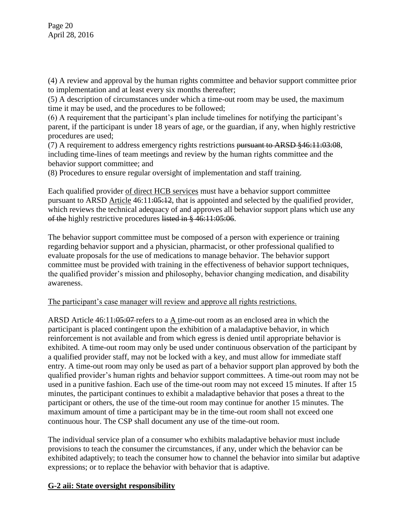(4) A review and approval by the human rights committee and behavior support committee prior to implementation and at least every six months thereafter;

(5) A description of circumstances under which a time-out room may be used, the maximum time it may be used, and the procedures to be followed;

(6) A requirement that the participant's plan include timelines for notifying the participant's parent, if the participant is under 18 years of age, or the guardian, if any, when highly restrictive procedures are used;

(7) A requirement to address emergency rights restrictions pursuant to ARSD §46:11:03:08, including time-lines of team meetings and review by the human rights committee and the behavior support committee; and

(8) Procedures to ensure regular oversight of implementation and staff training.

Each qualified provider of direct HCB services must have a behavior support committee pursuant to ARSD Article 46:11:05:12, that is appointed and selected by the qualified provider, which reviews the technical adequacy of and approves all behavior support plans which use any of the highly restrictive procedures listed in § 46:11:05:06.

The behavior support committee must be composed of a person with experience or training regarding behavior support and a physician, pharmacist, or other professional qualified to evaluate proposals for the use of medications to manage behavior. The behavior support committee must be provided with training in the effectiveness of behavior support techniques, the qualified provider's mission and philosophy, behavior changing medication, and disability awareness.

## The participant's case manager will review and approve all rights restrictions.

ARSD Article 46:11:05:07-refers to a A time-out room as an enclosed area in which the participant is placed contingent upon the exhibition of a maladaptive behavior, in which reinforcement is not available and from which egress is denied until appropriate behavior is exhibited. A time-out room may only be used under continuous observation of the participant by a qualified provider staff, may not be locked with a key, and must allow for immediate staff entry. A time-out room may only be used as part of a behavior support plan approved by both the qualified provider's human rights and behavior support committees. A time-out room may not be used in a punitive fashion. Each use of the time-out room may not exceed 15 minutes. If after 15 minutes, the participant continues to exhibit a maladaptive behavior that poses a threat to the participant or others, the use of the time-out room may continue for another 15 minutes. The maximum amount of time a participant may be in the time-out room shall not exceed one continuous hour. The CSP shall document any use of the time-out room.

The individual service plan of a consumer who exhibits maladaptive behavior must include provisions to teach the consumer the circumstances, if any, under which the behavior can be exhibited adaptively; to teach the consumer how to channel the behavior into similar but adaptive expressions; or to replace the behavior with behavior that is adaptive.

## **G-2 aii: State oversight responsibility**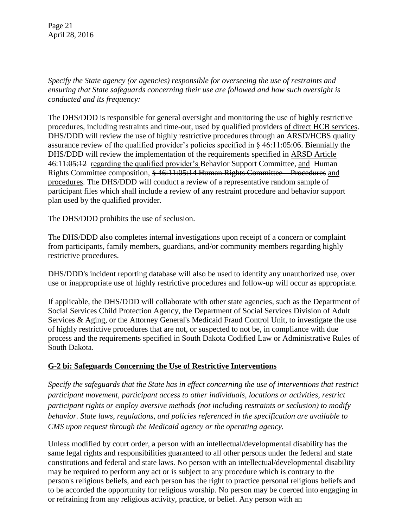Page 21 April 28, 2016

*Specify the State agency (or agencies) responsible for overseeing the use of restraints and ensuring that State safeguards concerning their use are followed and how such oversight is conducted and its frequency:* 

The DHS/DDD is responsible for general oversight and monitoring the use of highly restrictive procedures, including restraints and time-out, used by qualified providers of direct HCB services. DHS/DDD will review the use of highly restrictive procedures through an ARSD/HCBS quality assurance review of the qualified provider's policies specified in  $\S$  46:11:05:06. Biennially the DHS/DDD will review the implementation of the requirements specified in ARSD Article 46:11:05:12 regarding the qualified provider's Behavior Support Committee, and Human Rights Committee composition, § 46:11:05:14 Human Rights Committee – Procedures and procedures. The DHS/DDD will conduct a review of a representative random sample of participant files which shall include a review of any restraint procedure and behavior support plan used by the qualified provider.

The DHS/DDD prohibits the use of seclusion.

The DHS/DDD also completes internal investigations upon receipt of a concern or complaint from participants, family members, guardians, and/or community members regarding highly restrictive procedures.

DHS/DDD's incident reporting database will also be used to identify any unauthorized use, over use or inappropriate use of highly restrictive procedures and follow-up will occur as appropriate.

If applicable, the DHS/DDD will collaborate with other state agencies, such as the Department of Social Services Child Protection Agency, the Department of Social Services Division of Adult Services & Aging, or the Attorney General's Medicaid Fraud Control Unit, to investigate the use of highly restrictive procedures that are not, or suspected to not be, in compliance with due process and the requirements specified in South Dakota Codified Law or Administrative Rules of South Dakota.

## **G-2 bi: Safeguards Concerning the Use of Restrictive Interventions**

*Specify the safeguards that the State has in effect concerning the use of interventions that restrict participant movement, participant access to other individuals, locations or activities, restrict participant rights or employ aversive methods (not including restraints or seclusion) to modify behavior. State laws, regulations, and policies referenced in the specification are available to CMS upon request through the Medicaid agency or the operating agency.*

Unless modified by court order, a person with an intellectual/developmental disability has the same legal rights and responsibilities guaranteed to all other persons under the federal and state constitutions and federal and state laws. No person with an intellectual/developmental disability may be required to perform any act or is subject to any procedure which is contrary to the person's religious beliefs, and each person has the right to practice personal religious beliefs and to be accorded the opportunity for religious worship. No person may be coerced into engaging in or refraining from any religious activity, practice, or belief. Any person with an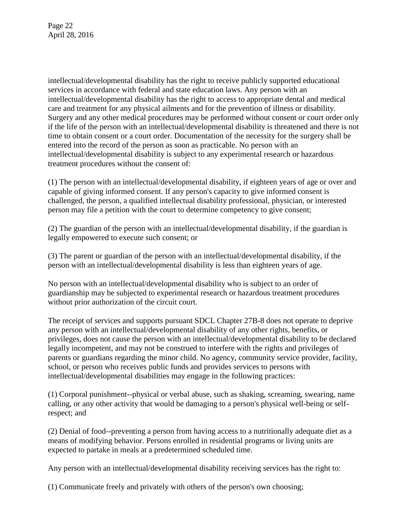Page 22 April 28, 2016

intellectual/developmental disability has the right to receive publicly supported educational services in accordance with federal and state education laws. Any person with an intellectual/developmental disability has the right to access to appropriate dental and medical care and treatment for any physical ailments and for the prevention of illness or disability. Surgery and any other medical procedures may be performed without consent or court order only if the life of the person with an intellectual/developmental disability is threatened and there is not time to obtain consent or a court order. Documentation of the necessity for the surgery shall be entered into the record of the person as soon as practicable. No person with an intellectual/developmental disability is subject to any experimental research or hazardous treatment procedures without the consent of:

(1) The person with an intellectual/developmental disability, if eighteen years of age or over and capable of giving informed consent. If any person's capacity to give informed consent is challenged, the person, a qualified intellectual disability professional, physician, or interested person may file a petition with the court to determine competency to give consent;

(2) The guardian of the person with an intellectual/developmental disability, if the guardian is legally empowered to execute such consent; or

(3) The parent or guardian of the person with an intellectual/developmental disability, if the person with an intellectual/developmental disability is less than eighteen years of age.

No person with an intellectual/developmental disability who is subject to an order of guardianship may be subjected to experimental research or hazardous treatment procedures without prior authorization of the circuit court.

The receipt of services and supports pursuant SDCL Chapter 27B-8 does not operate to deprive any person with an intellectual/developmental disability of any other rights, benefits, or privileges, does not cause the person with an intellectual/developmental disability to be declared legally incompetent, and may not be construed to interfere with the rights and privileges of parents or guardians regarding the minor child. No agency, community service provider, facility, school, or person who receives public funds and provides services to persons with intellectual/developmental disabilities may engage in the following practices:

(1) Corporal punishment--physical or verbal abuse, such as shaking, screaming, swearing, name calling, or any other activity that would be damaging to a person's physical well-being or selfrespect; and

(2) Denial of food--preventing a person from having access to a nutritionally adequate diet as a means of modifying behavior. Persons enrolled in residential programs or living units are expected to partake in meals at a predetermined scheduled time.

Any person with an intellectual/developmental disability receiving services has the right to:

(1) Communicate freely and privately with others of the person's own choosing;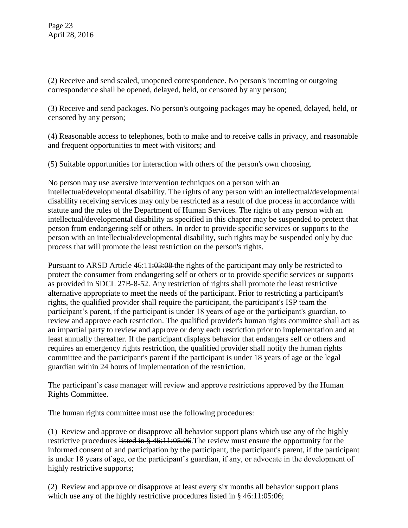(2) Receive and send sealed, unopened correspondence. No person's incoming or outgoing correspondence shall be opened, delayed, held, or censored by any person;

(3) Receive and send packages. No person's outgoing packages may be opened, delayed, held, or censored by any person;

(4) Reasonable access to telephones, both to make and to receive calls in privacy, and reasonable and frequent opportunities to meet with visitors; and

(5) Suitable opportunities for interaction with others of the person's own choosing.

No person may use aversive intervention techniques on a person with an intellectual/developmental disability. The rights of any person with an intellectual/developmental disability receiving services may only be restricted as a result of due process in accordance with statute and the rules of the Department of Human Services. The rights of any person with an intellectual/developmental disability as specified in this chapter may be suspended to protect that person from endangering self or others. In order to provide specific services or supports to the person with an intellectual/developmental disability, such rights may be suspended only by due process that will promote the least restriction on the person's rights.

Pursuant to ARSD Article  $46:11:03:08$  the rights of the participant may only be restricted to protect the consumer from endangering self or others or to provide specific services or supports as provided in SDCL 27B-8-52. Any restriction of rights shall promote the least restrictive alternative appropriate to meet the needs of the participant. Prior to restricting a participant's rights, the qualified provider shall require the participant, the participant's ISP team the participant's parent, if the participant is under 18 years of age or the participant's guardian, to review and approve each restriction. The qualified provider's human rights committee shall act as an impartial party to review and approve or deny each restriction prior to implementation and at least annually thereafter. If the participant displays behavior that endangers self or others and requires an emergency rights restriction, the qualified provider shall notify the human rights committee and the participant's parent if the participant is under 18 years of age or the legal guardian within 24 hours of implementation of the restriction.

The participant's case manager will review and approve restrictions approved by the Human Rights Committee.

The human rights committee must use the following procedures:

(1) Review and approve or disapprove all behavior support plans which use any  $\theta f$  the highly restrictive procedures listed in § 46:11:05:06. The review must ensure the opportunity for the informed consent of and participation by the participant, the participant's parent, if the participant is under 18 years of age, or the participant's guardian, if any, or advocate in the development of highly restrictive supports;

(2) Review and approve or disapprove at least every six months all behavior support plans which use any of the highly restrictive procedures listed in § 46:11:05:06;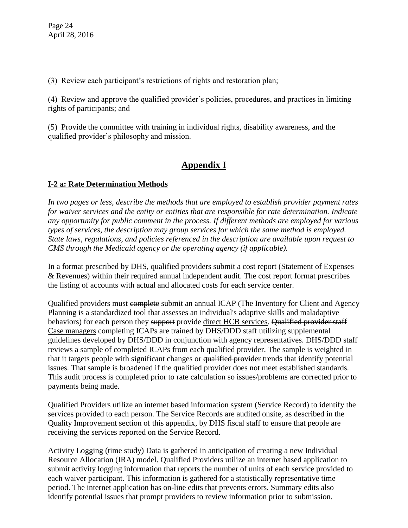(3) Review each participant's restrictions of rights and restoration plan;

(4) Review and approve the qualified provider's policies, procedures, and practices in limiting rights of participants; and

(5) Provide the committee with training in individual rights, disability awareness, and the qualified provider's philosophy and mission.

# **Appendix I**

## **I-2 a: Rate Determination Methods**

*In two pages or less, describe the methods that are employed to establish provider payment rates for waiver services and the entity or entities that are responsible for rate determination. Indicate any opportunity for public comment in the process. If different methods are employed for various types of services, the description may group services for which the same method is employed. State laws, regulations, and policies referenced in the description are available upon request to CMS through the Medicaid agency or the operating agency (if applicable).*

In a format prescribed by DHS, qualified providers submit a cost report (Statement of Expenses & Revenues) within their required annual independent audit. The cost report format prescribes the listing of accounts with actual and allocated costs for each service center.

Qualified providers must complete submit an annual ICAP (The Inventory for Client and Agency Planning is a standardized tool that assesses an individual's adaptive skills and maladaptive behaviors) for each person they support provide direct HCB services. Qualified provider staff Case managers completing ICAPs are trained by DHS/DDD staff utilizing supplemental guidelines developed by DHS/DDD in conjunction with agency representatives. DHS/DDD staff reviews a sample of completed ICAPs from each qualified provider. The sample is weighted in that it targets people with significant changes or qualified provider trends that identify potential issues. That sample is broadened if the qualified provider does not meet established standards. This audit process is completed prior to rate calculation so issues/problems are corrected prior to payments being made.

Qualified Providers utilize an internet based information system (Service Record) to identify the services provided to each person. The Service Records are audited onsite, as described in the Quality Improvement section of this appendix, by DHS fiscal staff to ensure that people are receiving the services reported on the Service Record.

Activity Logging (time study) Data is gathered in anticipation of creating a new Individual Resource Allocation (IRA) model. Qualified Providers utilize an internet based application to submit activity logging information that reports the number of units of each service provided to each waiver participant. This information is gathered for a statistically representative time period. The internet application has on-line edits that prevents errors. Summary edits also identify potential issues that prompt providers to review information prior to submission.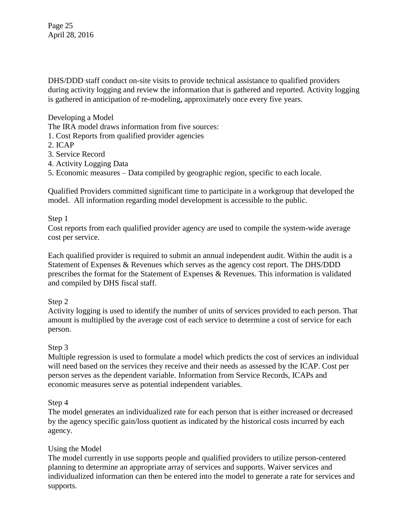Page 25 April 28, 2016

DHS/DDD staff conduct on-site visits to provide technical assistance to qualified providers during activity logging and review the information that is gathered and reported. Activity logging is gathered in anticipation of re-modeling, approximately once every five years.

Developing a Model

The IRA model draws information from five sources:

- 1. Cost Reports from qualified provider agencies
- 2. ICAP
- 3. Service Record
- 4. Activity Logging Data

5. Economic measures – Data compiled by geographic region, specific to each locale.

Qualified Providers committed significant time to participate in a workgroup that developed the model. All information regarding model development is accessible to the public.

#### Step 1

Cost reports from each qualified provider agency are used to compile the system-wide average cost per service.

Each qualified provider is required to submit an annual independent audit. Within the audit is a Statement of Expenses & Revenues which serves as the agency cost report. The DHS/DDD prescribes the format for the Statement of Expenses & Revenues. This information is validated and compiled by DHS fiscal staff.

#### Step 2

Activity logging is used to identify the number of units of services provided to each person. That amount is multiplied by the average cost of each service to determine a cost of service for each person.

## Step 3

Multiple regression is used to formulate a model which predicts the cost of services an individual will need based on the services they receive and their needs as assessed by the ICAP. Cost per person serves as the dependent variable. Information from Service Records, ICAPs and economic measures serve as potential independent variables.

#### Step 4

The model generates an individualized rate for each person that is either increased or decreased by the agency specific gain/loss quotient as indicated by the historical costs incurred by each agency.

#### Using the Model

The model currently in use supports people and qualified providers to utilize person-centered planning to determine an appropriate array of services and supports. Waiver services and individualized information can then be entered into the model to generate a rate for services and supports.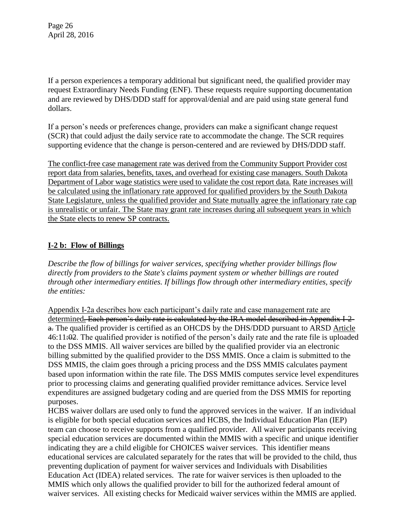Page 26 April 28, 2016

If a person experiences a temporary additional but significant need, the qualified provider may request Extraordinary Needs Funding (ENF). These requests require supporting documentation and are reviewed by DHS/DDD staff for approval/denial and are paid using state general fund dollars.

If a person's needs or preferences change, providers can make a significant change request (SCR) that could adjust the daily service rate to accommodate the change. The SCR requires supporting evidence that the change is person-centered and are reviewed by DHS/DDD staff.

The conflict-free case management rate was derived from the Community Support Provider cost report data from salaries, benefits, taxes, and overhead for existing case managers. South Dakota Department of Labor wage statistics were used to validate the cost report data. Rate increases will be calculated using the inflationary rate approved for qualified providers by the South Dakota State Legislature, unless the qualified provider and State mutually agree the inflationary rate cap is unrealistic or unfair. The State may grant rate increases during all subsequent years in which the State elects to renew SP contracts.

## **I-2 b: Flow of Billings**

*Describe the flow of billings for waiver services, specifying whether provider billings flow directly from providers to the State's claims payment system or whether billings are routed through other intermediary entities. If billings flow through other intermediary entities, specify the entities:*

Appendix I-2a describes how each participant's daily rate and case management rate are determined. Each person's daily rate is calculated by the IRA model described in Appendix I-2 a. The qualified provider is certified as an OHCDS by the DHS/DDD pursuant to ARSD Article 46:11:02. The qualified provider is notified of the person's daily rate and the rate file is uploaded to the DSS MMIS. All waiver services are billed by the qualified provider via an electronic billing submitted by the qualified provider to the DSS MMIS. Once a claim is submitted to the DSS MMIS, the claim goes through a pricing process and the DSS MMIS calculates payment based upon information within the rate file. The DSS MMIS computes service level expenditures prior to processing claims and generating qualified provider remittance advices. Service level expenditures are assigned budgetary coding and are queried from the DSS MMIS for reporting purposes.

HCBS waiver dollars are used only to fund the approved services in the waiver. If an individual is eligible for both special education services and HCBS, the Individual Education Plan (IEP) team can choose to receive supports from a qualified provider. All waiver participants receiving special education services are documented within the MMIS with a specific and unique identifier indicating they are a child eligible for CHOICES waiver services. This identifier means educational services are calculated separately for the rates that will be provided to the child, thus preventing duplication of payment for waiver services and Individuals with Disabilities Education Act (IDEA) related services. The rate for waiver services is then uploaded to the MMIS which only allows the qualified provider to bill for the authorized federal amount of waiver services. All existing checks for Medicaid waiver services within the MMIS are applied.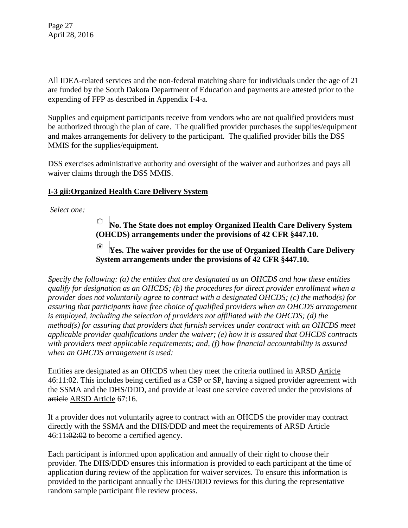Page 27 April 28, 2016

All IDEA-related services and the non-federal matching share for individuals under the age of 21 are funded by the South Dakota Department of Education and payments are attested prior to the expending of FFP as described in Appendix I-4-a.

Supplies and equipment participants receive from vendors who are not qualified providers must be authorized through the plan of care. The qualified provider purchases the supplies/equipment and makes arrangements for delivery to the participant. The qualified provider bills the DSS MMIS for the supplies/equipment.

DSS exercises administrative authority and oversight of the waiver and authorizes and pays all waiver claims through the DSS MMIS.

## **I-3 gii:Organized Health Care Delivery System**

*Select one:*

**No. The State does not employ Organized Health Care Delivery System (OHCDS) arrangements under the provisions of 42 CFR §447.10.**

**Yes. The waiver provides for the use of Organized Health Care Delivery System arrangements under the provisions of 42 CFR §447.10.**

*Specify the following: (a) the entities that are designated as an OHCDS and how these entities qualify for designation as an OHCDS; (b) the procedures for direct provider enrollment when a provider does not voluntarily agree to contract with a designated OHCDS; (c) the method(s) for assuring that participants have free choice of qualified providers when an OHCDS arrangement is employed, including the selection of providers not affiliated with the OHCDS; (d) the method(s) for assuring that providers that furnish services under contract with an OHCDS meet applicable provider qualifications under the waiver; (e) how it is assured that OHCDS contracts with providers meet applicable requirements; and, (f) how financial accountability is assured when an OHCDS arrangement is used:* 

Entities are designated as an OHCDS when they meet the criteria outlined in ARSD Article  $46:11:02$ . This includes being certified as a CSP or SP, having a signed provider agreement with the SSMA and the DHS/DDD, and provide at least one service covered under the provisions of article ARSD Article 67:16.

If a provider does not voluntarily agree to contract with an OHCDS the provider may contract directly with the SSMA and the DHS/DDD and meet the requirements of ARSD Article  $46:11:02:02$  to become a certified agency.

Each participant is informed upon application and annually of their right to choose their provider. The DHS/DDD ensures this information is provided to each participant at the time of application during review of the application for waiver services. To ensure this information is provided to the participant annually the DHS/DDD reviews for this during the representative random sample participant file review process.